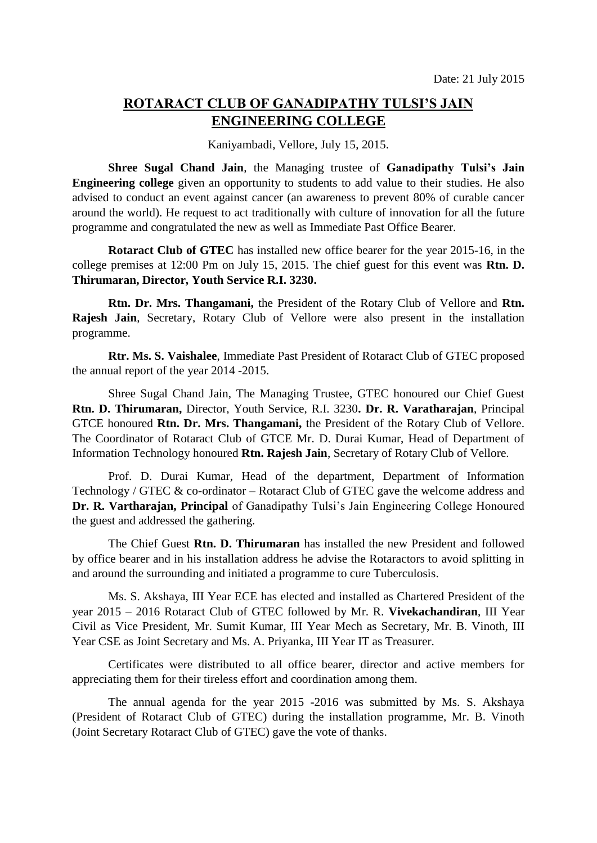## **ROTARACT CLUB OF GANADIPATHY TULSI'S JAIN ENGINEERING COLLEGE**

Kaniyambadi, Vellore, July 15, 2015.

**Shree Sugal Chand Jain**, the Managing trustee of **Ganadipathy Tulsi's Jain Engineering college** given an opportunity to students to add value to their studies. He also advised to conduct an event against cancer (an awareness to prevent 80% of curable cancer around the world). He request to act traditionally with culture of innovation for all the future programme and congratulated the new as well as Immediate Past Office Bearer.

**Rotaract Club of GTEC** has installed new office bearer for the year 2015-16, in the college premises at 12:00 Pm on July 15, 2015. The chief guest for this event was **Rtn. D. Thirumaran, Director, Youth Service R.I. 3230.**

**Rtn. Dr. Mrs. Thangamani,** the President of the Rotary Club of Vellore and **Rtn. Rajesh Jain**, Secretary, Rotary Club of Vellore were also present in the installation programme.

**Rtr. Ms. S. Vaishalee**, Immediate Past President of Rotaract Club of GTEC proposed the annual report of the year 2014 -2015.

Shree Sugal Chand Jain, The Managing Trustee, GTEC honoured our Chief Guest **Rtn. D. Thirumaran,** Director, Youth Service, R.I. 3230**. Dr. R. Varatharajan**, Principal GTCE honoured **Rtn. Dr. Mrs. Thangamani,** the President of the Rotary Club of Vellore. The Coordinator of Rotaract Club of GTCE Mr. D. Durai Kumar, Head of Department of Information Technology honoured **Rtn. Rajesh Jain**, Secretary of Rotary Club of Vellore.

Prof. D. Durai Kumar, Head of the department, Department of Information Technology / GTEC & co-ordinator – Rotaract Club of GTEC gave the welcome address and **Dr. R. Vartharajan, Principal** of Ganadipathy Tulsi's Jain Engineering College Honoured the guest and addressed the gathering.

The Chief Guest **Rtn. D. Thirumaran** has installed the new President and followed by office bearer and in his installation address he advise the Rotaractors to avoid splitting in and around the surrounding and initiated a programme to cure Tuberculosis.

Ms. S. Akshaya, III Year ECE has elected and installed as Chartered President of the year 2015 – 2016 Rotaract Club of GTEC followed by Mr. R. **Vivekachandiran**, III Year Civil as Vice President, Mr. Sumit Kumar, III Year Mech as Secretary, Mr. B. Vinoth, III Year CSE as Joint Secretary and Ms. A. Priyanka, III Year IT as Treasurer.

Certificates were distributed to all office bearer, director and active members for appreciating them for their tireless effort and coordination among them.

The annual agenda for the year 2015 -2016 was submitted by Ms. S. Akshaya (President of Rotaract Club of GTEC) during the installation programme, Mr. B. Vinoth (Joint Secretary Rotaract Club of GTEC) gave the vote of thanks.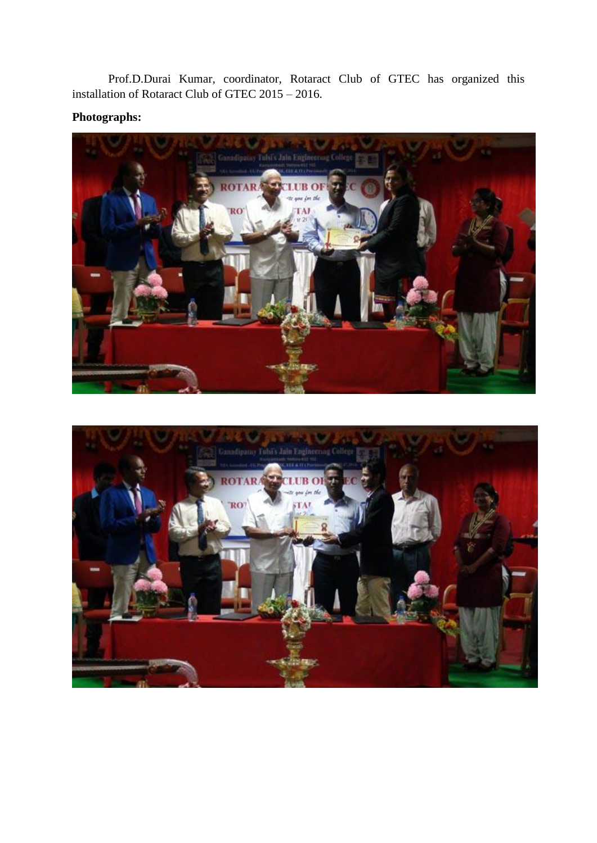Prof.D.Durai Kumar, coordinator, Rotaract Club of GTEC has organized this installation of Rotaract Club of GTEC 2015 – 2016.

## **Photographs:**